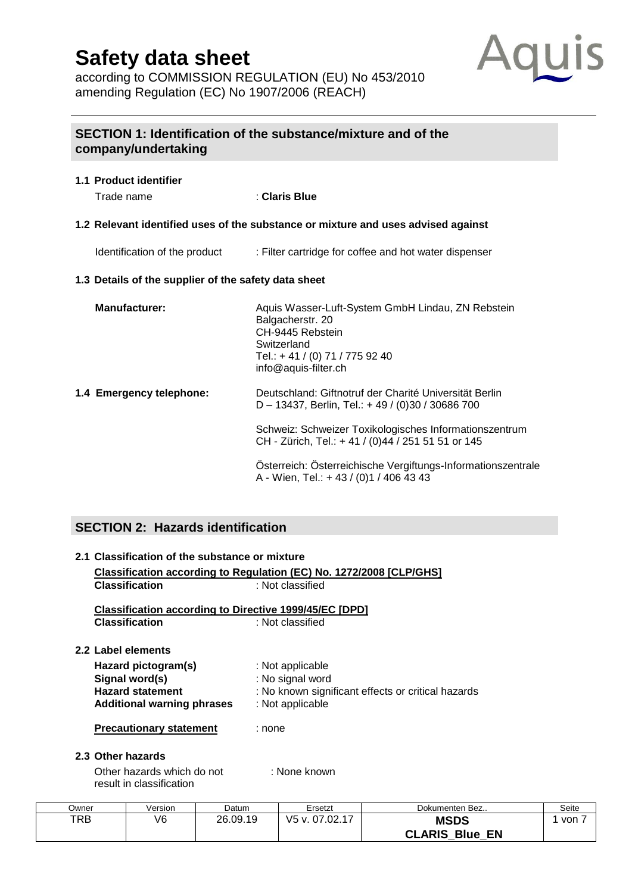according to COMMISSION REGULATION (EU) No 453/2010 amending Regulation (EC) No 1907/2006 (REACH)



# **SECTION 1: Identification of the substance/mixture and of the company/undertaking**

# **1.1 Product identifier** Trade name : **Claris Blue 1.2 Relevant identified uses of the substance or mixture and uses advised against**  Identification of the product : Filter cartridge for coffee and hot water dispenser **1.3 Details of the supplier of the safety data sheet Manufacturer:** Aquis Wasser-Luft-System GmbH Lindau, ZN Rebstein Balgacherstr. 20 CH-9445 Rebstein **Switzerland** Tel.: + 41 / (0) 71 / 775 92 40 [info@aquis-filter.ch](mailto:info@aquis-filter.ch) **1.4 Emergency telephone:** Deutschland: Giftnotruf der Charité Universität Berlin D – 13437, Berlin, Tel.: + 49 / (0)30 / 30686 700 Schweiz: Schweizer Toxikologisches Informationszentrum CH - Zürich, Tel.: + 41 / (0)44 / 251 51 51 or 145 Österreich: Österreichische Vergiftungs-Informationszentrale A - Wien, Tel.: + 43 / (0)1 / 406 43 43

# **SECTION 2: Hazards identification**

# **2.1 Classification of the substance or mixture Classification according to Regulation (EC) No. 1272/2008 [CLP/GHS] Classification** : Not classified **Classification according to Directive 1999/45/EC [DPD] Classification** : Not classified **2.2 Label elements Hazard pictogram(s)** : Not applicable **Signal word(s)** : No signal word **Hazard statement** : No known significant effects or critical hazards **Additional warning phrases** : Not applicable **Precautionary statement** : none **2.3 Other hazards**

Other hazards which do not : None known result in classification

| Owner | Version | Datum    | Ersetzt        | Dokumenten Bez              | Seite |
|-------|---------|----------|----------------|-----------------------------|-------|
| TRB   | V6      | 26.09.19 | V5 v. 07.02.17 | <b>MSDS</b>                 | von   |
|       |         |          |                | <b>CLARIS</b><br>Blue<br>EN |       |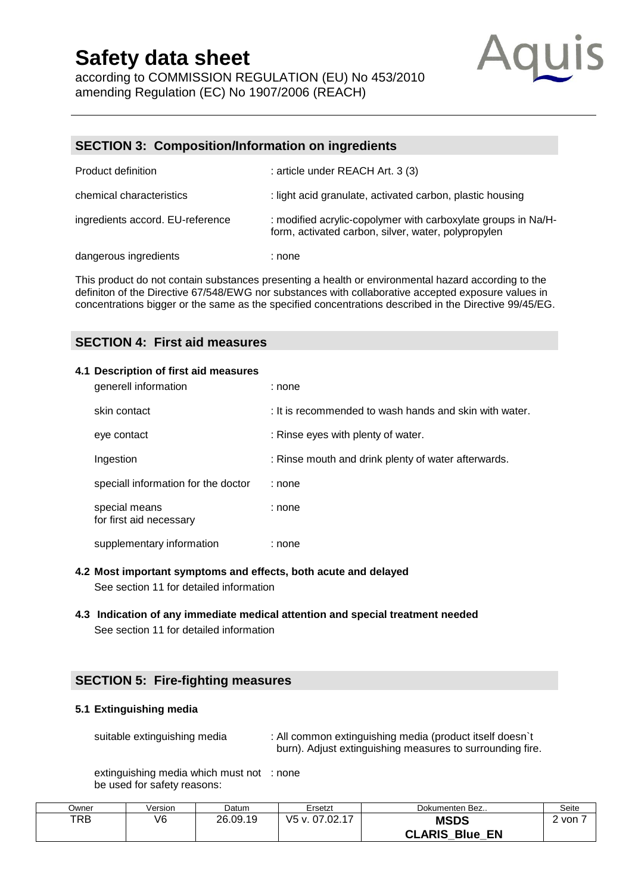according to COMMISSION REGULATION (EU) No 453/2010 amending Regulation (EC) No 1907/2006 (REACH)



## **SECTION 3: Composition/Information on ingredients**

| <b>Product definition</b>        | : article under REACH Art. 3 (3)                                                                                     |
|----------------------------------|----------------------------------------------------------------------------------------------------------------------|
| chemical characteristics         | : light acid granulate, activated carbon, plastic housing                                                            |
| ingredients accord. EU-reference | : modified acrylic-copolymer with carboxylate groups in Na/H-<br>form, activated carbon, silver, water, polypropylen |
| dangerous ingredients            | : none                                                                                                               |

This product do not contain substances presenting a health or environmental hazard according to the definiton of the Directive 67/548/EWG nor substances with [collaborative](http://dict.leo.org/se?lp=ende&p=/Mn4k.&search=collaborative) accepted exposure values in concentrations bigger or the same as the specified concentrations described in the Directive 99/45/EG.

## **SECTION 4: First aid measures**

#### **4.1 Description of first aid measures**

| generell information                     | : none                                                 |
|------------------------------------------|--------------------------------------------------------|
| skin contact                             | : It is recommended to wash hands and skin with water. |
| eye contact                              | : Rinse eyes with plenty of water.                     |
| Ingestion                                | : Rinse mouth and drink plenty of water afterwards.    |
| speciall information for the doctor      | : none                                                 |
| special means<br>for first aid necessary | : none                                                 |
| supplementary information                | : none                                                 |

## **4.2 Most important symptoms and effects, both acute and delayed**

See section 11 for detailed information

## **4.3 Indication of any immediate medical attention and special treatment needed**  See section 11 for detailed information

## **SECTION 5: Fire-fighting measures**

#### **5.1 Extinguishing media**

suitable extinguishing media : All common extinguishing media (product itself doesn't burn). Adjust extinguishing measures to surrounding fire.

extinguishing media which must not : none be used for safety reasons:

| Jwner | Version | Datum    | Ersetzt        | Dokumenten Bez                     | Seite |
|-------|---------|----------|----------------|------------------------------------|-------|
| TRB   | V6      | 26.09.19 | V5 v. 07.02.17 | <b>MSDS</b>                        | von   |
|       |         |          |                | <b>CLARIS</b><br>EN<br><b>Blue</b> |       |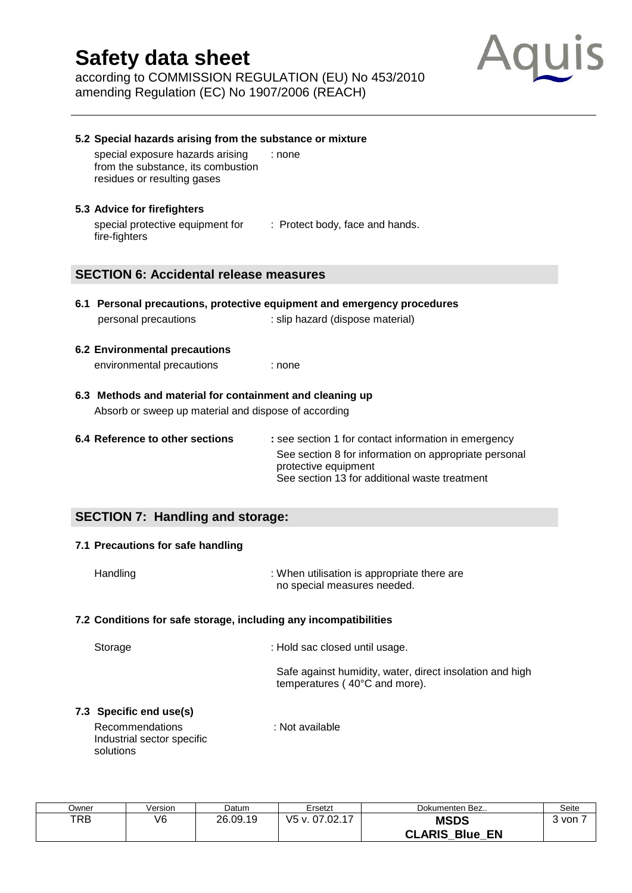according to COMMISSION REGULATION (EU) No 453/2010 amending Regulation (EC) No 1907/2006 (REACH)



| 5.2 Special hazards arising from the substance or mixture                                             |                                                                               |
|-------------------------------------------------------------------------------------------------------|-------------------------------------------------------------------------------|
| special exposure hazards arising<br>from the substance, its combustion<br>residues or resulting gases | : none                                                                        |
| 5.3 Advice for firefighters                                                                           |                                                                               |
| special protective equipment for : Protect body, face and hands.<br>fire-fighters                     |                                                                               |
| <b>SECTION 6: Accidental release measures</b>                                                         |                                                                               |
|                                                                                                       |                                                                               |
|                                                                                                       | 6.1 Personal precautions, protective equipment and emergency procedures       |
| personal precautions                                                                                  | : slip hazard (dispose material)                                              |
| <b>6.2 Environmental precautions</b>                                                                  |                                                                               |
| environmental precautions                                                                             | : none                                                                        |
| 6.3 Methods and material for containment and cleaning up                                              |                                                                               |
| Absorb or sweep up material and dispose of according                                                  |                                                                               |
| 6.4 Reference to other sections                                                                       | : see section 1 for contact information in emergency                          |
|                                                                                                       | See section 8 for information on appropriate personal<br>protective equipment |

# **SECTION 7: Handling and storage:**

#### **7.1 Precautions for safe handling**

| Handling | : When utilisation is appropriate there are |
|----------|---------------------------------------------|
|          | no special measures needed.                 |

#### **7.2 Conditions for safe storage, including any incompatibilities**

| Storage                 | : Hold sac closed until usage.                                                            |
|-------------------------|-------------------------------------------------------------------------------------------|
|                         | Safe against humidity, water, direct insolation and high<br>temperatures (40°C and more). |
| 7.3 Specific end use(s) |                                                                                           |

See section 13 for additional waste treatment

#### Recommendations : Not available Industrial sector specific solutions

Ersetzt Dokumenten Bez.. Seite<br>
TRB 1990 V6 26.09.19 V5 v. 07.02.17 VSDS 3 von TRB V6 26.09.19 V5 v. 07.02.17 **MSDS CLARIS\_Blue\_EN** 3 von 7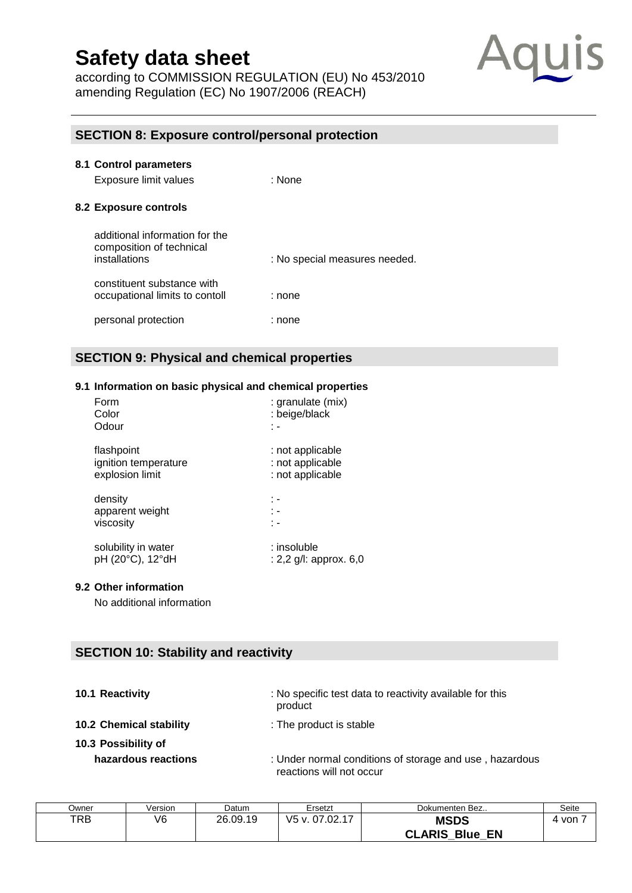according to COMMISSION REGULATION (EU) No 453/2010 amending Regulation (EC) No 1907/2006 (REACH)



## **SECTION 8: Exposure control/personal protection**

| 8.1 Control parameters<br>Exposure limit values                             | : None                        |
|-----------------------------------------------------------------------------|-------------------------------|
| 8.2 Exposure controls                                                       |                               |
| additional information for the<br>composition of technical<br>installations | : No special measures needed. |
| constituent substance with<br>occupational limits to contoll                | : none                        |
| personal protection                                                         | : none                        |

# **SECTION 9: Physical and chemical properties**

#### **9.1 Information on basic physical and chemical properties**

| Form                 | : granulate (mix)         |
|----------------------|---------------------------|
| Color                | : beige/black             |
| Odour                | ٠.                        |
| flashpoint           | : not applicable          |
| ignition temperature | : not applicable          |
| explosion limit      | : not applicable          |
| density              | : -                       |
| apparent weight      | t -                       |
| viscosity            | t -                       |
| solubility in water  | : insoluble               |
| pH (20°C), 12°dH     | : 2,2 $g/l$ : approx. 6,0 |

### **9.2 Other information**

No additional information

## **SECTION 10: Stability and reactivity**

|  |  | 10.1 Reactivity |  |
|--|--|-----------------|--|
|--|--|-----------------|--|

- **10.1 Reactivity** : No specific test data to reactivity available for this
- **10.2 Chemical stability** : The product is stable
- product
- **10.3 Possibility of**
- - **hazardous reactions** : Under normal conditions of storage and use , hazardous reactions will not occur

| Jwner | Version | Datum    | Ersetzt           | Dokumenten Bez                             | Seite |
|-------|---------|----------|-------------------|--------------------------------------------|-------|
| TRB   | V6      | 26.09.19 | V5<br>v. 07.02.17 | <b>MSDS</b><br><b>CLARIS</b><br>Blue<br>EN | von   |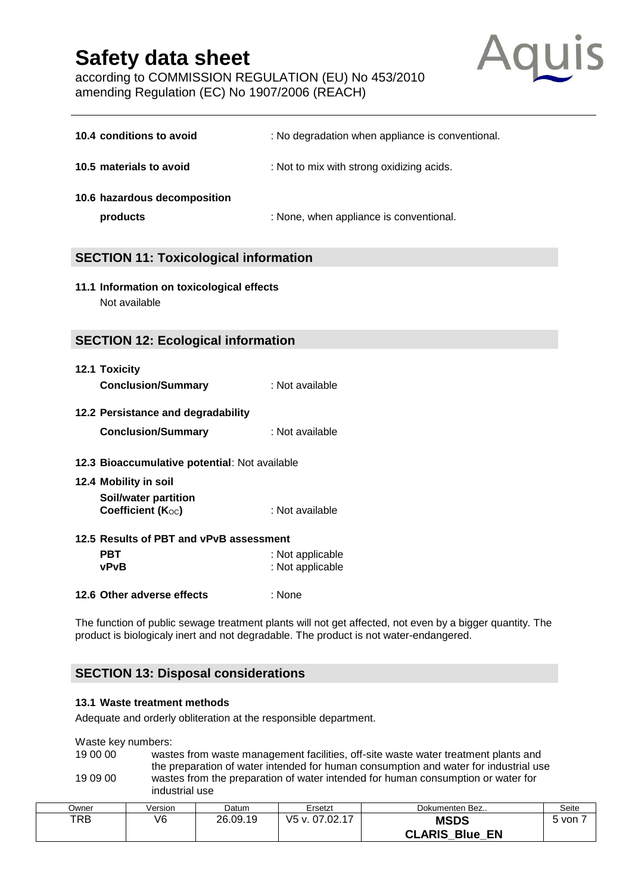according to COMMISSION REGULATION (EU) No 453/2010 amending Regulation (EC) No 1907/2006 (REACH)



| 10.4 conditions to avoid                                   | : No degradation when appliance is conventional. |
|------------------------------------------------------------|--------------------------------------------------|
| 10.5 materials to avoid                                    | : Not to mix with strong oxidizing acids.        |
| 10.6 hazardous decomposition<br>products                   | : None, when appliance is conventional.          |
| <b>SECTION 11: Toxicological information</b>               |                                                  |
| 11.1 Information on toxicological effects<br>Not ovojlohlo |                                                  |

Not available

## **SECTION 12: Ecological information**

| 12.1 Toxicity             |                 |
|---------------------------|-----------------|
| <b>Conclusion/Summary</b> | : Not available |

#### **12.2 Persistance and degradability**

| <b>Conclusion/Summary</b> | : Not available |
|---------------------------|-----------------|
|---------------------------|-----------------|

#### **12.3 Bioaccumulative potential**: Not available

# **12.4 Mobility in soil Soil/water partition**

# **Coefficient (K**<sub>OC</sub>) : Not available

## **12.5 Results of PBT and vPvB assessment**

| <b>PBT</b> | : Not applicable |
|------------|------------------|
| vPvB       | : Not applicable |

#### **12.6 Other adverse effects** : None

The function of public [sewage](http://dict.leo.org/se?lp=ende&p=/Mn4k.&search=sewage) [treatment](http://dict.leo.org/se?lp=ende&p=/Mn4k.&search=treatment) [plants](http://dict.leo.org/se?lp=ende&p=/Mn4k.&search=plants) will not get affected, not even by a bigger quantity. The product is biologicaly inert and not [degradable.](http://dict.leo.org/se?lp=ende&p=/Mn4k.&search=bio-degradable) The product is not water-endangered.

## **SECTION 13: Disposal considerations**

#### **13.1 Waste treatment methods**

[Adequate](http://dict.leo.org/se?lp=ende&p=/Mn4k.&search=adequate) [and](http://dict.leo.org/se?lp=ende&p=/Mn4k.&search=and) [orderly](http://dict.leo.org/se?lp=ende&p=/Mn4k.&search=orderly) obliteration at the responsible department.

Waste key numbers:

19 00 00 wastes from waste management facilities, off-site waste water treatment plants and the preparation of water intended for human consumption and water for industrial use 19 09 00 wastes from the preparation of water intended for human consumption or water for industrial use

| Owner | Version | Datum    | Ersetzt        | Dokumenten Bez                          | Seite |
|-------|---------|----------|----------------|-----------------------------------------|-------|
| TRB   | V6      | 26.09.19 | V5 v. 07.02.17 | <b>MSDS</b><br><b>CLARIS Blue</b><br>EN | von   |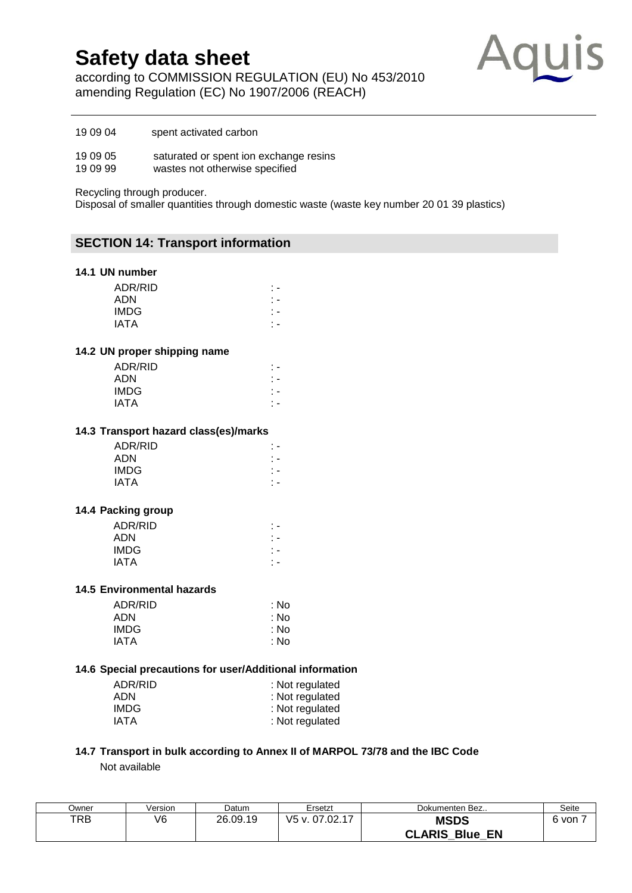according to COMMISSION REGULATION (EU) No 453/2010 amending Regulation (EC) No 1907/2006 (REACH)



19 09 04 spent activated carbon

19 09 05 saturated or spent ion exchange resins<br>19 09 99 wastes not otherwise specified

wastes not otherwise specified

Recycling through producer.

Disposal of smaller quantities through domestic waste (waste key number 20 01 39 plastics)

## **SECTION 14: Transport information**

#### **14.1 UN number**

| ADR/RID |  |
|---------|--|
| ADN     |  |
| IMDG    |  |
| IATA    |  |

#### **14.2 UN proper shipping name**

| ADR/RID |  |  |    |
|---------|--|--|----|
| ADN     |  |  |    |
| IMDG    |  |  | ٠. |
| IATA    |  |  |    |
|         |  |  |    |

#### **14.3 Transport hazard class(es)/marks**

## **14.4 Packing group**

| ADR/RID     |  |
|-------------|--|
| ADN         |  |
| <b>IMDG</b> |  |
| IATA        |  |
|             |  |

#### **14.5 Environmental hazards**

| ADR/RID     | : No |
|-------------|------|
| <b>ADN</b>  | : No |
| <b>IMDG</b> | : No |
| <b>IATA</b> | : No |
|             |      |

#### **14.6 Special precautions for user/Additional information**

| ADR/RID | : Not regulated |
|---------|-----------------|
| ADN     | : Not regulated |
| IMDG    | : Not regulated |
| IATA    | : Not regulated |

#### **14.7 Transport in bulk according to Annex II of MARPOL 73/78 and the IBC Code** Not available

| Jwner | Version        | Datum    | Ersetzt         | Dokumenten Bez                                    | Seite |
|-------|----------------|----------|-----------------|---------------------------------------------------|-------|
| TRB   | V <sub>6</sub> | 26.09.19 | V5<br>.07.02.17 | <b>MSDS</b><br><b>CLARIS</b><br>EN<br><b>Blue</b> | von   |